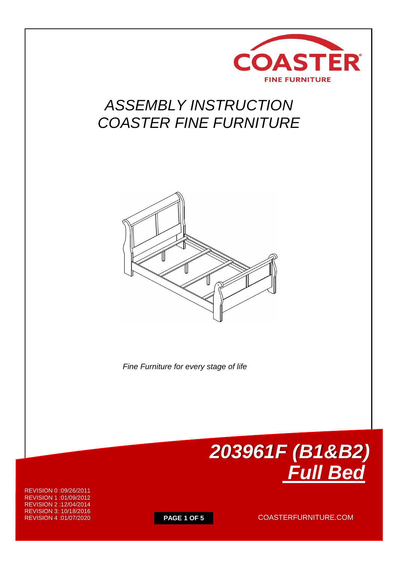

## *ASSEMBLY INSTRUCTION COASTER FINE FURNITURE*



 *Fine Furniture for every stage of life*



REVISION 0 :09/26/2011 REVISION 1 :01/09/2012 REVISION 2 :12/04/2014 REVISION 3: 10/18/2016 REVISION 4 :01/07/2020

**PAGE 1 OF 5** COASTERFURNITURE.COM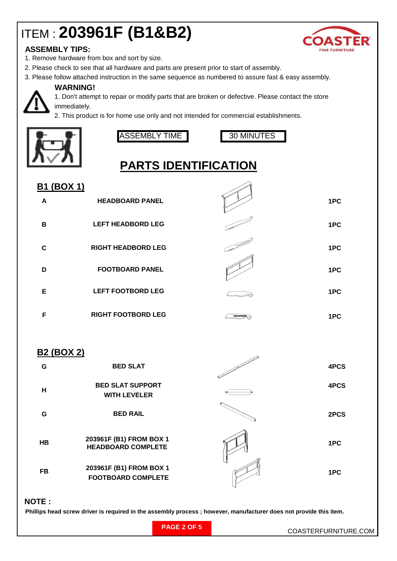# ITEM : **203961F (B1&B2)**



### **ASSEMBLY TIPS:**

- 1. Remove hardware from box and sort by size.
- 2. Please check to see that all hardware and parts are present prior to start of assembly.
- 3. Please follow attached instruction in the same sequence as numbered to assure fast & easy assembly.

#### **WARNING!**

1. Don't attempt to repair or modify parts that are broken or defective. Please contact the store immediately.

2. This product is for home use only and not intended for commercial establishments.



ASSEMBLY TIME 1 30 MINUTES



## **PARTS IDENTIFICATION**

| <b>B1 (BOX 1)</b> |                           |     |
|-------------------|---------------------------|-----|
| A                 | <b>HEADBOARD PANEL</b>    | 1PC |
| B                 | <b>LEFT HEADBORD LEG</b>  | 1PC |
| C                 | <b>RIGHT HEADBORD LEG</b> | 1PC |
| D                 | <b>FOOTBOARD PANEL</b>    | 1PC |
| Е                 | <b>LEFT FOOTBORD LEG</b>  | 1PC |
| F                 | <b>RIGHT FOOTBORD LEG</b> | 1PC |

### **B2 (BOX 2)**

| G         | <b>BED SLAT</b>                                      | 4PCS |
|-----------|------------------------------------------------------|------|
| н         | <b>BED SLAT SUPPORT</b><br><b>WITH LEVELER</b>       | 4PCS |
| G         | <b>BED RAIL</b>                                      | 2PCS |
| <b>HB</b> | 203961F (B1) FROM BOX 1<br><b>HEADBOARD COMPLETE</b> | 1PC  |
| FB        | 203961F (B1) FROM BOX 1<br><b>FOOTBOARD COMPLETE</b> | 1PC  |

#### **NOTE :**

 **Phillips head screw driver is required in the assembly process ; however, manufacturer does not provide this item.**

|  |  | <b>PAGE 2 OF 5</b> |  |  |  |
|--|--|--------------------|--|--|--|
|--|--|--------------------|--|--|--|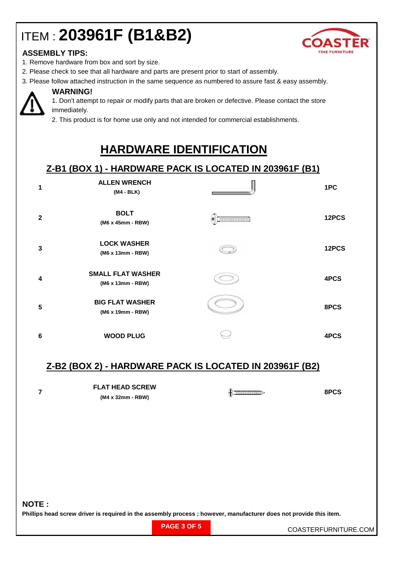# ITEM : **203961F (B1&B2)**



### **ASSEMBLY TIPS:**

- 1. Remove hardware from box and sort by size.
- 2. Please check to see that all hardware and parts are present prior to start of assembly.
- 3. Please follow attached instruction in the same sequence as numbered to assure fast & easy assembly.



### **WARNING!**

1. Don't attempt to repair or modify parts that are broken or defective. Please contact the store immediately.

2. This product is for home use only and not intended for commercial establishments.

## **HARDWARE IDENTIFICATION**

### **Z-B1 (BOX 1) - HARDWARE PACK IS LOCATED IN 203961F (B1)**

| 1            | <b>ALLEN WRENCH</b><br>(M4 - BLK)             | 1PC   |
|--------------|-----------------------------------------------|-------|
| $\mathbf{2}$ | <b>BOLT</b><br>(M6 x 45mm - RBW)              | 12PCS |
| 3            | <b>LOCK WASHER</b><br>(M6 x 13mm - RBW)       | 12PCS |
| 4            | <b>SMALL FLAT WASHER</b><br>(M6 x 13mm - RBW) | 4PCS  |
| 5            | <b>BIG FLAT WASHER</b><br>(M6 x 19mm - RBW)   | 8PCS  |
| 6            | <b>WOOD PLUG</b>                              | 4PCS  |

### **Z-B2 (BOX 2) - HARDWARE PACK IS LOCATED IN 203961F (B2)**

| <b>FLAT HEAD SCREW</b> | 8PCS |
|------------------------|------|
| (M4 x 32mm - RBW)      |      |

**NOTE :**

**Phillips head screw driver is required in the assembly process ; however, manufacturer does not provide this item.**

| PAGE 3 OF 5 |
|-------------|
|-------------|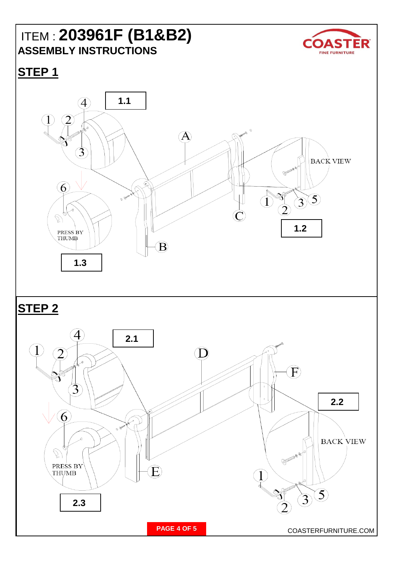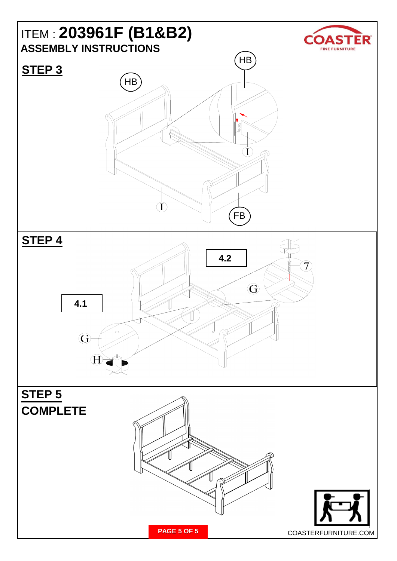